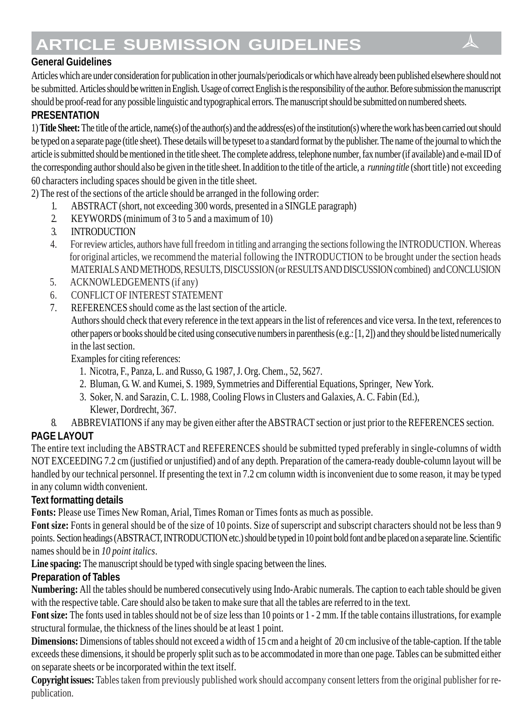# **ARTICLE SUBMISSION GUIDELINES**

# **General Guidelines**

Articles which are under consideration for publication in other journals/periodicals or which have already been published elsewhere should not be submitted. Articles should be written in English. Usage of correct English is the responsibility of the author. Before submission the manuscript should be proof-read for any possible linguistic and typographical errors. The manuscript should be submitted on numbered sheets.

## **PRESENTATION**

1) **Title Sheet:** The title of the article, name(s) of the author(s) and the address(es) of the institution(s) where the work has been carried out should be typed on a separate page (title sheet). These details will be typeset to a standard format by the publisher. The name of the journal to which the article is submitted should be mentioned in the title sheet. The complete address, telephone number, fax number (if available) and e-mail ID of the corresponding author should also be given in the title sheet. In addition to the title of the article, a *running title* (short title) not exceeding 60 characters including spaces should be given in the title sheet.

2) The rest of the sections of the article should be arranged in the following order:

- 1. ABSTRACT (short, not exceeding 300 words, presented in a SINGLE paragraph)
- 2. KEYWORDS (minimum of 3 to 5 and a maximum of 10)
- 3. INTRODUCTION
- 4. For review articles, authors have full freedom in titling and arranging the sections following the INTRODUCTION. Whereas for original articles, we recommend the material following the INTRODUCTION to be brought under the section heads MATERIALS AND METHODS, RESULTS, DISCUSSION (or RESULTS AND DISCUSSION combined) and CONCLUSION
- 5. ACKNOWLEDGEMENTS (if any)
- 6. CONFLICT OF INTEREST STATEMENT
- 7. REFERENCES should come as the last section of the article.

Authors should check that every reference in the text appears in the list of references and vice versa. In the text, references to other papers or books should be cited using consecutive numbers in parenthesis (e.g.: [1, 2]) and they should be listed numerically in the last section.

Examples for citing references:

- 1. Nicotra, F., Panza, L. and Russo, G. 1987, J. Org. Chem., 52, 5627.
- 2. Bluman, G. W. and Kumei, S. 1989, Symmetries and Differential Equations, Springer, New York.
- 3. Soker, N. and Sarazin, C. L. 1988, Cooling Flows in Clusters and Galaxies, A. C. Fabin (Ed.), Klewer, Dordrecht, 367.
- 8. ABBREVIATIONS if any may be given either after the ABSTRACT section or just prior to the REFERENCES section.

# **PAGE LAYOUT**

The entire text including the ABSTRACT and REFERENCES should be submitted typed preferably in single-columns of width NOT EXCEEDING 7.2 cm (justified or unjustified) and of any depth. Preparation of the camera-ready double-column layout will be handled by our technical personnel. If presenting the text in 7.2 cm column width is inconvenient due to some reason, it may be typed in any column width convenient.

## **Text formatting details**

**Fonts:** Please use Times New Roman, Arial, Times Roman or Times fonts as much as possible.

**Font size:** Fonts in general should be of the size of 10 points. Size of superscript and subscript characters should not be less than 9 points. Section headings (ABSTRACT, INTRODUCTION etc.) should be typed in 10 point bold font and be placed on a separate line. Scientific names should be in *10 point italics*.

**Line spacing:** The manuscript should be typed with single spacing between the lines.

## **Preparation of Tables**

**Numbering:** All the tables should be numbered consecutively using Indo-Arabic numerals. The caption to each table should be given with the respective table. Care should also be taken to make sure that all the tables are referred to in the text.

**Font size:** The fonts used in tables should not be of size less than 10 points or 1 - 2 mm. If the table contains illustrations, for example structural formulae, the thickness of the lines should be at least 1 point.

**Dimensions:** Dimensions of tables should not exceed a width of 15 cm and a height of 20 cm inclusive of the table-caption. If the table exceeds these dimensions, it should be properly split such as to be accommodated in more than one page. Tables can be submitted either on separate sheets or be incorporated within the text itself.

**Copyright issues:** Tables taken from previously published work should accompany consent letters from the original publisher for republication.